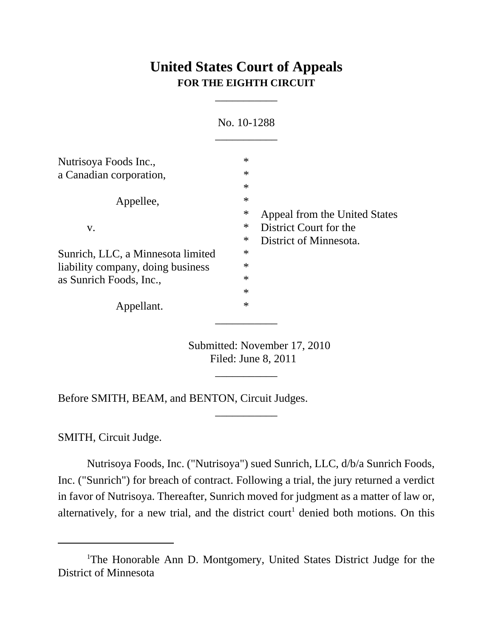# **United States Court of Appeals FOR THE EIGHTH CIRCUIT**

\_\_\_\_\_\_\_\_\_\_\_

|                                                                                                   | No. 10-1288                          |                                                                                   |  |
|---------------------------------------------------------------------------------------------------|--------------------------------------|-----------------------------------------------------------------------------------|--|
| Nutrisoya Foods Inc.,<br>a Canadian corporation,                                                  | $\ast$<br>$\ast$<br>$\ast$           |                                                                                   |  |
| Appellee,                                                                                         | $\ast$<br>$\ast$                     |                                                                                   |  |
| V.                                                                                                | $\ast$<br>$\ast$                     | Appeal from the United States<br>District Court for the<br>District of Minnesota. |  |
| Sunrich, LLC, a Minnesota limited<br>liability company, doing business<br>as Sunrich Foods, Inc., | $\ast$<br>$\ast$<br>$\ast$<br>$\ast$ |                                                                                   |  |
| Appellant.                                                                                        | $\ast$                               |                                                                                   |  |

Submitted: November 17, 2010 Filed: June 8, 2011

\_\_\_\_\_\_\_\_\_\_\_

\_\_\_\_\_\_\_\_\_\_\_

Before SMITH, BEAM, and BENTON, Circuit Judges.

SMITH, Circuit Judge.

Nutrisoya Foods, Inc. ("Nutrisoya") sued Sunrich, LLC, d/b/a Sunrich Foods, Inc. ("Sunrich") for breach of contract. Following a trial, the jury returned a verdict in favor of Nutrisoya. Thereafter, Sunrich moved for judgment as a matter of law or, alternatively, for a new trial, and the district court<sup>1</sup> denied both motions. On this

<sup>&</sup>lt;sup>1</sup>The Honorable Ann D. Montgomery, United States District Judge for the District of Minnesota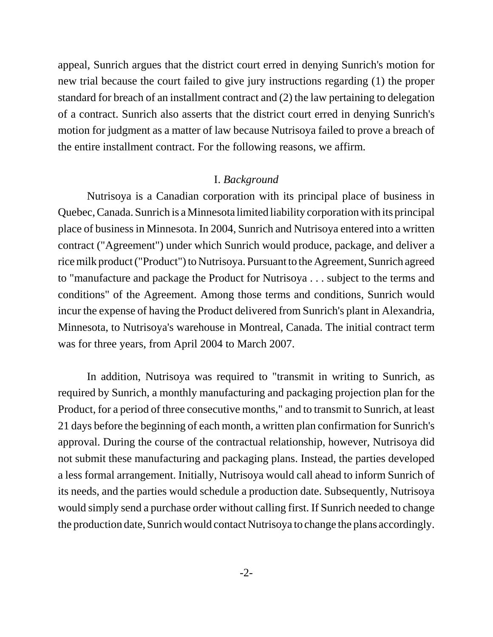appeal, Sunrich argues that the district court erred in denying Sunrich's motion for new trial because the court failed to give jury instructions regarding (1) the proper standard for breach of an installment contract and (2) the law pertaining to delegation of a contract. Sunrich also asserts that the district court erred in denying Sunrich's motion for judgment as a matter of law because Nutrisoya failed to prove a breach of the entire installment contract. For the following reasons, we affirm.

#### I. *Background*

Nutrisoya is a Canadian corporation with its principal place of business in Quebec, Canada. Sunrich is a Minnesota limited liability corporation with its principal place of business in Minnesota. In 2004, Sunrich and Nutrisoya entered into a written contract ("Agreement") under which Sunrich would produce, package, and deliver a rice milk product ("Product") to Nutrisoya. Pursuant to the Agreement, Sunrich agreed to "manufacture and package the Product for Nutrisoya . . . subject to the terms and conditions" of the Agreement. Among those terms and conditions, Sunrich would incur the expense of having the Product delivered from Sunrich's plant in Alexandria, Minnesota, to Nutrisoya's warehouse in Montreal, Canada. The initial contract term was for three years, from April 2004 to March 2007.

In addition, Nutrisoya was required to "transmit in writing to Sunrich, as required by Sunrich, a monthly manufacturing and packaging projection plan for the Product, for a period of three consecutive months," and to transmit to Sunrich, at least 21 days before the beginning of each month, a written plan confirmation for Sunrich's approval. During the course of the contractual relationship, however, Nutrisoya did not submit these manufacturing and packaging plans. Instead, the parties developed a less formal arrangement. Initially, Nutrisoya would call ahead to inform Sunrich of its needs, and the parties would schedule a production date. Subsequently, Nutrisoya would simply send a purchase order without calling first. If Sunrich needed to change the production date, Sunrich would contact Nutrisoya to change the plans accordingly.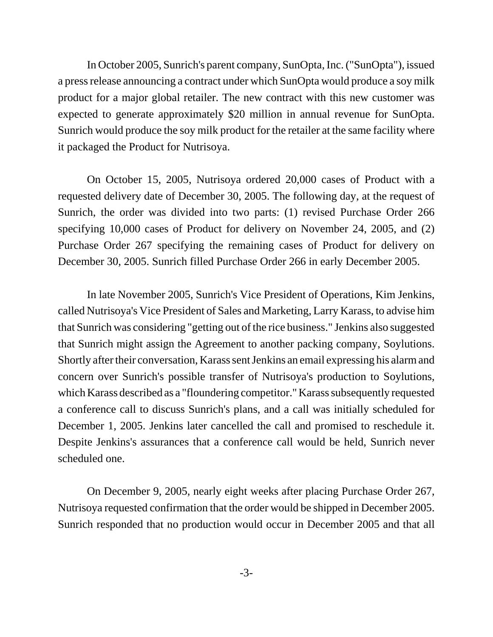In October 2005, Sunrich's parent company, SunOpta, Inc. ("SunOpta"), issued a press release announcing a contract under which SunOpta would produce a soy milk product for a major global retailer. The new contract with this new customer was expected to generate approximately \$20 million in annual revenue for SunOpta. Sunrich would produce the soy milk product for the retailer at the same facility where it packaged the Product for Nutrisoya.

On October 15, 2005, Nutrisoya ordered 20,000 cases of Product with a requested delivery date of December 30, 2005. The following day, at the request of Sunrich, the order was divided into two parts: (1) revised Purchase Order 266 specifying 10,000 cases of Product for delivery on November 24, 2005, and (2) Purchase Order 267 specifying the remaining cases of Product for delivery on December 30, 2005. Sunrich filled Purchase Order 266 in early December 2005.

In late November 2005, Sunrich's Vice President of Operations, Kim Jenkins, called Nutrisoya's Vice President of Sales and Marketing, Larry Karass, to advise him that Sunrich was considering "getting out of the rice business." Jenkins also suggested that Sunrich might assign the Agreement to another packing company, Soylutions. Shortly after their conversation, Karass sent Jenkins an email expressing his alarm and concern over Sunrich's possible transfer of Nutrisoya's production to Soylutions, which Karass described as a "floundering competitor." Karass subsequently requested a conference call to discuss Sunrich's plans, and a call was initially scheduled for December 1, 2005. Jenkins later cancelled the call and promised to reschedule it. Despite Jenkins's assurances that a conference call would be held, Sunrich never scheduled one.

On December 9, 2005, nearly eight weeks after placing Purchase Order 267, Nutrisoya requested confirmation that the order would be shipped in December 2005. Sunrich responded that no production would occur in December 2005 and that all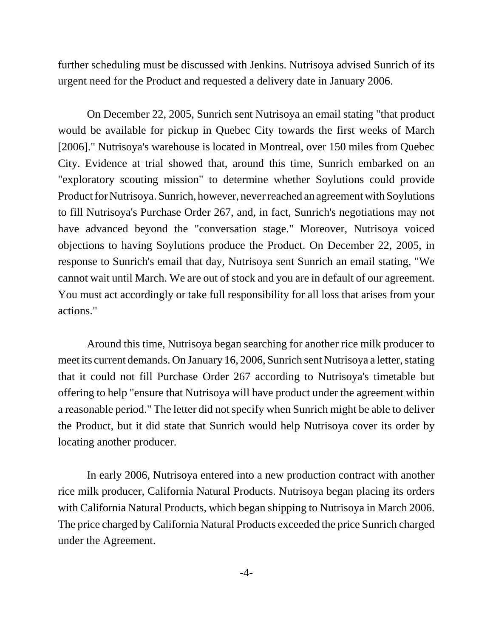further scheduling must be discussed with Jenkins. Nutrisoya advised Sunrich of its urgent need for the Product and requested a delivery date in January 2006.

On December 22, 2005, Sunrich sent Nutrisoya an email stating "that product would be available for pickup in Quebec City towards the first weeks of March [2006]." Nutrisoya's warehouse is located in Montreal, over 150 miles from Quebec City. Evidence at trial showed that, around this time, Sunrich embarked on an "exploratory scouting mission" to determine whether Soylutions could provide Product for Nutrisoya. Sunrich, however, never reached an agreement with Soylutions to fill Nutrisoya's Purchase Order 267, and, in fact, Sunrich's negotiations may not have advanced beyond the "conversation stage." Moreover, Nutrisoya voiced objections to having Soylutions produce the Product. On December 22, 2005, in response to Sunrich's email that day, Nutrisoya sent Sunrich an email stating, "We cannot wait until March. We are out of stock and you are in default of our agreement. You must act accordingly or take full responsibility for all loss that arises from your actions."

Around this time, Nutrisoya began searching for another rice milk producer to meet its current demands. On January 16, 2006, Sunrich sent Nutrisoya a letter, stating that it could not fill Purchase Order 267 according to Nutrisoya's timetable but offering to help "ensure that Nutrisoya will have product under the agreement within a reasonable period." The letter did not specify when Sunrich might be able to deliver the Product, but it did state that Sunrich would help Nutrisoya cover its order by locating another producer.

In early 2006, Nutrisoya entered into a new production contract with another rice milk producer, California Natural Products. Nutrisoya began placing its orders with California Natural Products, which began shipping to Nutrisoya in March 2006. The price charged by California Natural Products exceeded the price Sunrich charged under the Agreement.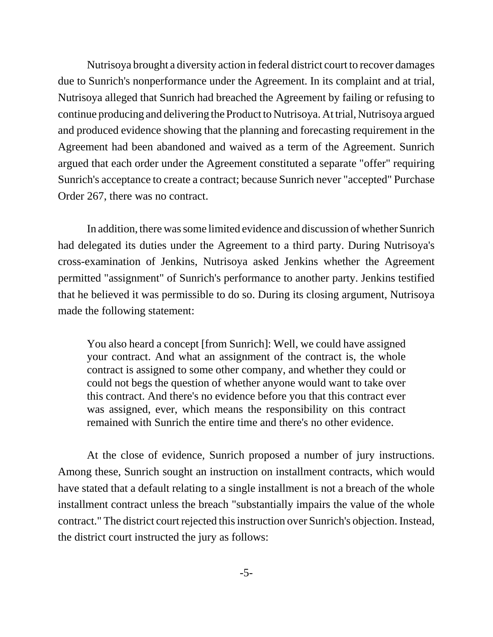Nutrisoya brought a diversity action in federal district court to recover damages due to Sunrich's nonperformance under the Agreement. In its complaint and at trial, Nutrisoya alleged that Sunrich had breached the Agreement by failing or refusing to continue producing and delivering the Product to Nutrisoya. At trial, Nutrisoya argued and produced evidence showing that the planning and forecasting requirement in the Agreement had been abandoned and waived as a term of the Agreement. Sunrich argued that each order under the Agreement constituted a separate "offer" requiring Sunrich's acceptance to create a contract; because Sunrich never "accepted" Purchase Order 267, there was no contract.

In addition, there was some limited evidence and discussion of whether Sunrich had delegated its duties under the Agreement to a third party. During Nutrisoya's cross-examination of Jenkins, Nutrisoya asked Jenkins whether the Agreement permitted "assignment" of Sunrich's performance to another party. Jenkins testified that he believed it was permissible to do so. During its closing argument, Nutrisoya made the following statement:

You also heard a concept [from Sunrich]: Well, we could have assigned your contract. And what an assignment of the contract is, the whole contract is assigned to some other company, and whether they could or could not begs the question of whether anyone would want to take over this contract. And there's no evidence before you that this contract ever was assigned, ever, which means the responsibility on this contract remained with Sunrich the entire time and there's no other evidence.

At the close of evidence, Sunrich proposed a number of jury instructions. Among these, Sunrich sought an instruction on installment contracts, which would have stated that a default relating to a single installment is not a breach of the whole installment contract unless the breach "substantially impairs the value of the whole contract." The district court rejected this instruction over Sunrich's objection. Instead, the district court instructed the jury as follows: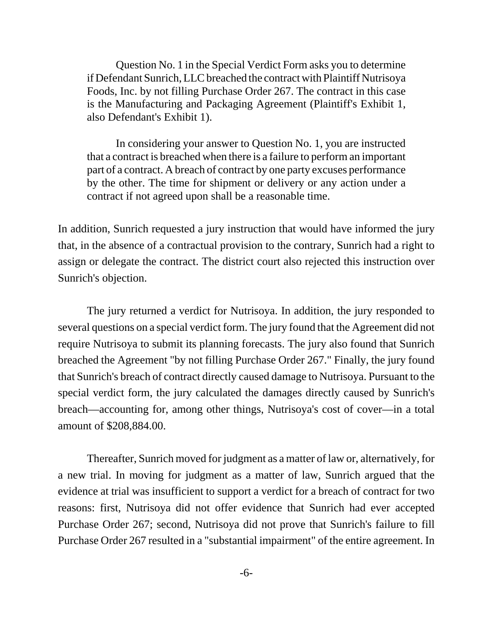Question No. 1 in the Special Verdict Form asks you to determine if Defendant Sunrich, LLC breached the contract with Plaintiff Nutrisoya Foods, Inc. by not filling Purchase Order 267. The contract in this case is the Manufacturing and Packaging Agreement (Plaintiff's Exhibit 1, also Defendant's Exhibit 1).

In considering your answer to Question No. 1, you are instructed that a contract is breached when there is a failure to perform an important part of a contract. A breach of contract by one party excuses performance by the other. The time for shipment or delivery or any action under a contract if not agreed upon shall be a reasonable time.

In addition, Sunrich requested a jury instruction that would have informed the jury that, in the absence of a contractual provision to the contrary, Sunrich had a right to assign or delegate the contract. The district court also rejected this instruction over Sunrich's objection.

The jury returned a verdict for Nutrisoya. In addition, the jury responded to several questions on a special verdict form. The jury found that the Agreement did not require Nutrisoya to submit its planning forecasts. The jury also found that Sunrich breached the Agreement "by not filling Purchase Order 267." Finally, the jury found that Sunrich's breach of contract directly caused damage to Nutrisoya. Pursuant to the special verdict form, the jury calculated the damages directly caused by Sunrich's breach—accounting for, among other things, Nutrisoya's cost of cover—in a total amount of \$208,884.00.

Thereafter, Sunrich moved for judgment as a matter of law or, alternatively, for a new trial. In moving for judgment as a matter of law, Sunrich argued that the evidence at trial was insufficient to support a verdict for a breach of contract for two reasons: first, Nutrisoya did not offer evidence that Sunrich had ever accepted Purchase Order 267; second, Nutrisoya did not prove that Sunrich's failure to fill Purchase Order 267 resulted in a "substantial impairment" of the entire agreement. In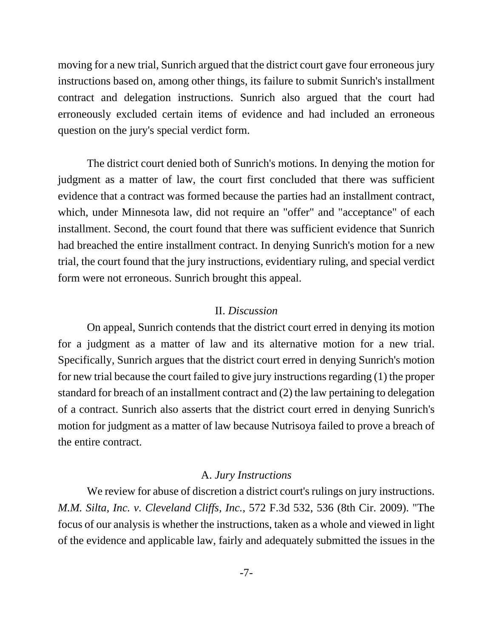moving for a new trial, Sunrich argued that the district court gave four erroneous jury instructions based on, among other things, its failure to submit Sunrich's installment contract and delegation instructions. Sunrich also argued that the court had erroneously excluded certain items of evidence and had included an erroneous question on the jury's special verdict form.

The district court denied both of Sunrich's motions. In denying the motion for judgment as a matter of law, the court first concluded that there was sufficient evidence that a contract was formed because the parties had an installment contract, which, under Minnesota law, did not require an "offer" and "acceptance" of each installment. Second, the court found that there was sufficient evidence that Sunrich had breached the entire installment contract. In denying Sunrich's motion for a new trial, the court found that the jury instructions, evidentiary ruling, and special verdict form were not erroneous. Sunrich brought this appeal.

## II. *Discussion*

On appeal, Sunrich contends that the district court erred in denying its motion for a judgment as a matter of law and its alternative motion for a new trial. Specifically, Sunrich argues that the district court erred in denying Sunrich's motion for new trial because the court failed to give jury instructions regarding (1) the proper standard for breach of an installment contract and (2) the law pertaining to delegation of a contract. Sunrich also asserts that the district court erred in denying Sunrich's motion for judgment as a matter of law because Nutrisoya failed to prove a breach of the entire contract.

#### A. *Jury Instructions*

We review for abuse of discretion a district court's rulings on jury instructions. *M.M. Silta, Inc. v. Cleveland Cliffs, Inc.*, 572 F.3d 532, 536 (8th Cir. 2009). "The focus of our analysis is whether the instructions, taken as a whole and viewed in light of the evidence and applicable law, fairly and adequately submitted the issues in the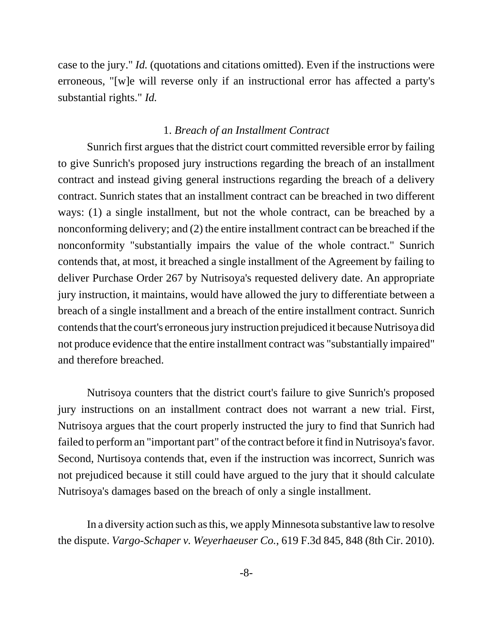case to the jury." *Id.* (quotations and citations omitted). Even if the instructions were erroneous, "[w]e will reverse only if an instructional error has affected a party's substantial rights." *Id.*

#### 1. *Breach of an Installment Contract*

Sunrich first argues that the district court committed reversible error by failing to give Sunrich's proposed jury instructions regarding the breach of an installment contract and instead giving general instructions regarding the breach of a delivery contract. Sunrich states that an installment contract can be breached in two different ways: (1) a single installment, but not the whole contract, can be breached by a nonconforming delivery; and (2) the entire installment contract can be breached if the nonconformity "substantially impairs the value of the whole contract." Sunrich contends that, at most, it breached a single installment of the Agreement by failing to deliver Purchase Order 267 by Nutrisoya's requested delivery date. An appropriate jury instruction, it maintains, would have allowed the jury to differentiate between a breach of a single installment and a breach of the entire installment contract. Sunrich contends that the court's erroneous jury instruction prejudiced it because Nutrisoya did not produce evidence that the entire installment contract was "substantially impaired" and therefore breached.

Nutrisoya counters that the district court's failure to give Sunrich's proposed jury instructions on an installment contract does not warrant a new trial. First, Nutrisoya argues that the court properly instructed the jury to find that Sunrich had failed to perform an "important part" of the contract before it find in Nutrisoya's favor. Second, Nurtisoya contends that, even if the instruction was incorrect, Sunrich was not prejudiced because it still could have argued to the jury that it should calculate Nutrisoya's damages based on the breach of only a single installment.

In a diversity action such as this, we apply Minnesota substantive law to resolve the dispute. *Vargo-Schaper v. Weyerhaeuser Co.*, 619 F.3d 845, 848 (8th Cir. 2010).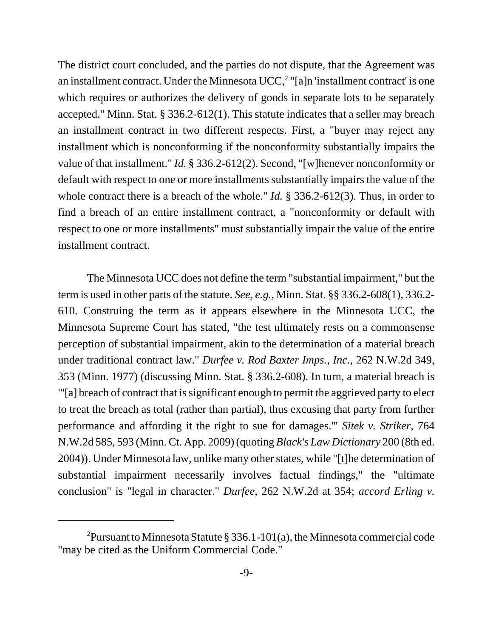The district court concluded, and the parties do not dispute, that the Agreement was an installment contract. Under the Minnesota UCC, $<sup>2</sup>$  "[a]n 'installment contract' is one</sup> which requires or authorizes the delivery of goods in separate lots to be separately accepted." Minn. Stat. § 336.2-612(1). This statute indicates that a seller may breach an installment contract in two different respects. First, a "buyer may reject any installment which is nonconforming if the nonconformity substantially impairs the value of that installment." *Id.* § 336.2-612(2). Second, "[w]henever nonconformity or default with respect to one or more installments substantially impairs the value of the whole contract there is a breach of the whole." *Id.* § 336.2-612(3). Thus, in order to find a breach of an entire installment contract, a "nonconformity or default with respect to one or more installments" must substantially impair the value of the entire installment contract.

The Minnesota UCC does not define the term "substantial impairment," but the term is used in other parts of the statute. *See, e.g.*, Minn. Stat. §§ 336.2-608(1), 336.2- 610. Construing the term as it appears elsewhere in the Minnesota UCC, the Minnesota Supreme Court has stated, "the test ultimately rests on a commonsense perception of substantial impairment, akin to the determination of a material breach under traditional contract law." *Durfee v. Rod Baxter Imps., Inc.*, 262 N.W.2d 349, 353 (Minn. 1977) (discussing Minn. Stat. § 336.2-608). In turn, a material breach is "'[a] breach of contract that is significant enough to permit the aggrieved party to elect to treat the breach as total (rather than partial), thus excusing that party from further performance and affording it the right to sue for damages.'" *Sitek v. Striker*, 764 N.W.2d 585, 593 (Minn. Ct. App. 2009) (quoting *Black's Law Dictionary* 200 (8th ed. 2004)). Under Minnesota law, unlike many other states, while "[t]he determination of substantial impairment necessarily involves factual findings," the "ultimate conclusion" is "legal in character." *Durfee*, 262 N.W.2d at 354; *accord Erling v.*

<sup>&</sup>lt;sup>2</sup> Pursuant to Minnesota Statute § 336.1-101(a), the Minnesota commercial code "may be cited as the Uniform Commercial Code."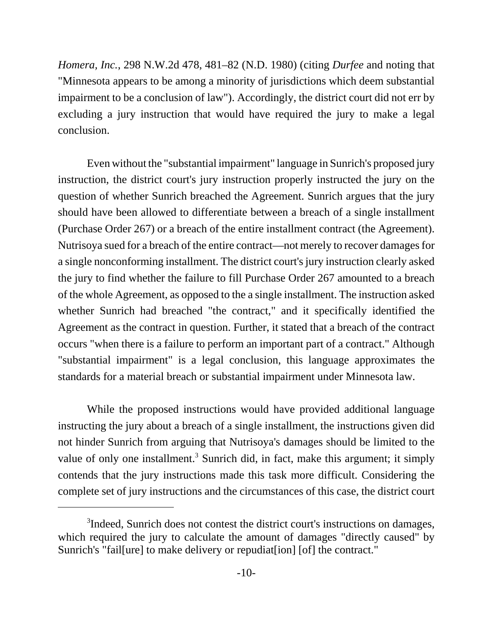*Homera, Inc.*, 298 N.W.2d 478, 481–82 (N.D. 1980) (citing *Durfee* and noting that "Minnesota appears to be among a minority of jurisdictions which deem substantial impairment to be a conclusion of law"). Accordingly, the district court did not err by excluding a jury instruction that would have required the jury to make a legal conclusion.

Even without the "substantial impairment" language in Sunrich's proposed jury instruction, the district court's jury instruction properly instructed the jury on the question of whether Sunrich breached the Agreement. Sunrich argues that the jury should have been allowed to differentiate between a breach of a single installment (Purchase Order 267) or a breach of the entire installment contract (the Agreement). Nutrisoya sued for a breach of the entire contract—not merely to recover damages for a single nonconforming installment. The district court's jury instruction clearly asked the jury to find whether the failure to fill Purchase Order 267 amounted to a breach of the whole Agreement, as opposed to the a single installment. The instruction asked whether Sunrich had breached "the contract," and it specifically identified the Agreement as the contract in question. Further, it stated that a breach of the contract occurs "when there is a failure to perform an important part of a contract." Although "substantial impairment" is a legal conclusion, this language approximates the standards for a material breach or substantial impairment under Minnesota law.

While the proposed instructions would have provided additional language instructing the jury about a breach of a single installment, the instructions given did not hinder Sunrich from arguing that Nutrisoya's damages should be limited to the value of only one installment.<sup>3</sup> Sunrich did, in fact, make this argument; it simply contends that the jury instructions made this task more difficult. Considering the complete set of jury instructions and the circumstances of this case, the district court

<sup>&</sup>lt;sup>3</sup>Indeed, Sunrich does not contest the district court's instructions on damages, which required the jury to calculate the amount of damages "directly caused" by Sunrich's "fail[ure] to make delivery or repudiat[ion] [of] the contract."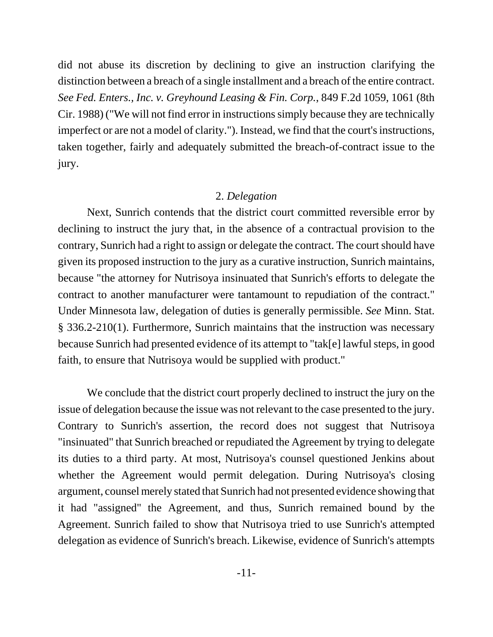did not abuse its discretion by declining to give an instruction clarifying the distinction between a breach of a single installment and a breach of the entire contract. *See Fed. Enters., Inc. v. Greyhound Leasing & Fin. Corp.*, 849 F.2d 1059, 1061 (8th Cir. 1988) ("We will not find error in instructions simply because they are technically imperfect or are not a model of clarity."). Instead, we find that the court's instructions, taken together, fairly and adequately submitted the breach-of-contract issue to the jury.

## 2. *Delegation*

Next, Sunrich contends that the district court committed reversible error by declining to instruct the jury that, in the absence of a contractual provision to the contrary, Sunrich had a right to assign or delegate the contract. The court should have given its proposed instruction to the jury as a curative instruction, Sunrich maintains, because "the attorney for Nutrisoya insinuated that Sunrich's efforts to delegate the contract to another manufacturer were tantamount to repudiation of the contract." Under Minnesota law, delegation of duties is generally permissible. *See* Minn. Stat. § 336.2-210(1). Furthermore, Sunrich maintains that the instruction was necessary because Sunrich had presented evidence of its attempt to "tak[e] lawful steps, in good faith, to ensure that Nutrisoya would be supplied with product."

We conclude that the district court properly declined to instruct the jury on the issue of delegation because the issue was not relevant to the case presented to the jury. Contrary to Sunrich's assertion, the record does not suggest that Nutrisoya "insinuated" that Sunrich breached or repudiated the Agreement by trying to delegate its duties to a third party. At most, Nutrisoya's counsel questioned Jenkins about whether the Agreement would permit delegation. During Nutrisoya's closing argument, counsel merely stated that Sunrich had not presented evidence showing that it had "assigned" the Agreement, and thus, Sunrich remained bound by the Agreement. Sunrich failed to show that Nutrisoya tried to use Sunrich's attempted delegation as evidence of Sunrich's breach. Likewise, evidence of Sunrich's attempts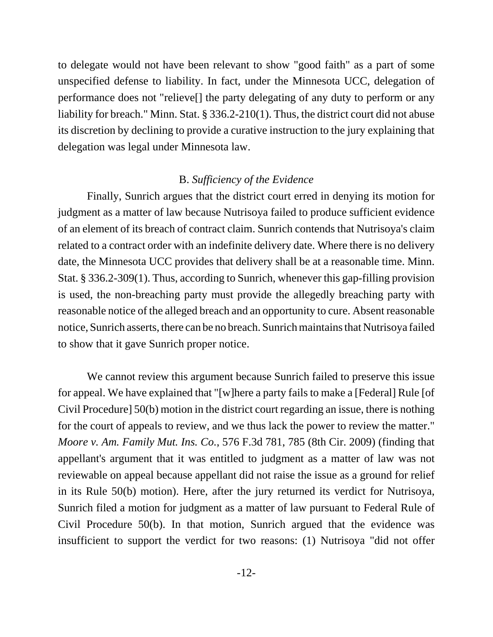to delegate would not have been relevant to show "good faith" as a part of some unspecified defense to liability. In fact, under the Minnesota UCC, delegation of performance does not "relieve[] the party delegating of any duty to perform or any liability for breach." Minn. Stat. § 336.2-210(1). Thus, the district court did not abuse its discretion by declining to provide a curative instruction to the jury explaining that delegation was legal under Minnesota law.

# B. *Sufficiency of the Evidence*

Finally, Sunrich argues that the district court erred in denying its motion for judgment as a matter of law because Nutrisoya failed to produce sufficient evidence of an element of its breach of contract claim. Sunrich contends that Nutrisoya's claim related to a contract order with an indefinite delivery date. Where there is no delivery date, the Minnesota UCC provides that delivery shall be at a reasonable time. Minn. Stat. § 336.2-309(1). Thus, according to Sunrich, whenever this gap-filling provision is used, the non-breaching party must provide the allegedly breaching party with reasonable notice of the alleged breach and an opportunity to cure. Absent reasonable notice, Sunrich asserts, there can be no breach. Sunrich maintains that Nutrisoya failed to show that it gave Sunrich proper notice.

We cannot review this argument because Sunrich failed to preserve this issue for appeal. We have explained that "[w]here a party fails to make a [Federal] Rule [of Civil Procedure] 50(b) motion in the district court regarding an issue, there is nothing for the court of appeals to review, and we thus lack the power to review the matter." *Moore v. Am. Family Mut. Ins. Co.*, 576 F.3d 781, 785 (8th Cir. 2009) (finding that appellant's argument that it was entitled to judgment as a matter of law was not reviewable on appeal because appellant did not raise the issue as a ground for relief in its Rule 50(b) motion). Here, after the jury returned its verdict for Nutrisoya, Sunrich filed a motion for judgment as a matter of law pursuant to Federal Rule of Civil Procedure 50(b). In that motion, Sunrich argued that the evidence was insufficient to support the verdict for two reasons: (1) Nutrisoya "did not offer